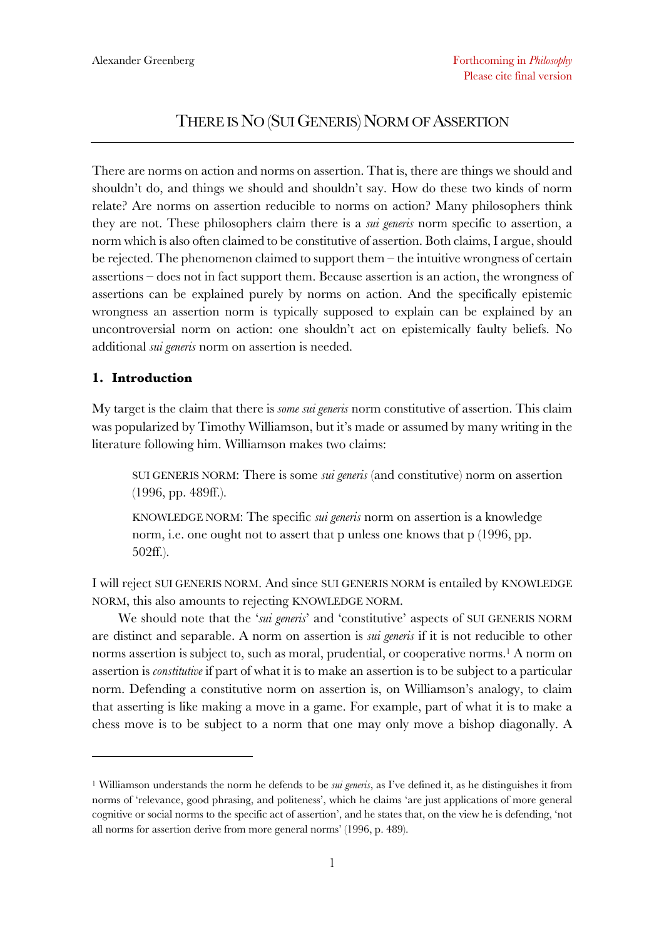# THERE IS NO (SUI GENERIS) NORM OF ASSERTION

There are norms on action and norms on assertion. That is, there are things we should and shouldn't do, and things we should and shouldn't say. How do these two kinds of norm relate? Are norms on assertion reducible to norms on action? Many philosophers think they are not. These philosophers claim there is a *sui generis* norm specific to assertion, a norm which is also often claimed to be constitutive of assertion. Both claims, I argue, should be rejected. The phenomenon claimed to support them – the intuitive wrongness of certain assertions – does not in fact support them. Because assertion is an action, the wrongness of assertions can be explained purely by norms on action. And the specifically epistemic wrongness an assertion norm is typically supposed to explain can be explained by an uncontroversial norm on action: one shouldn't act on epistemically faulty beliefs. No additional *sui generis* norm on assertion is needed.

## **1. Introduction**

My target is the claim that there is *some sui generis* norm constitutive of assertion. This claim was popularized by Timothy Williamson, but it's made or assumed by many writing in the literature following him. Williamson makes two claims:

SUI GENERIS NORM: There is some *sui generis* (and constitutive) norm on assertion (1996, pp. 489ff.).

KNOWLEDGE NORM: The specific *sui generis* norm on assertion is a knowledge norm, i.e. one ought not to assert that p unless one knows that p (1996, pp. 502ff.).

I will reject SUI GENERIS NORM. And since SUI GENERIS NORM is entailed by KNOWLEDGE NORM, this also amounts to rejecting KNOWLEDGE NORM.

We should note that the '*sui generis*' and 'constitutive' aspects of SUI GENERIS NORM are distinct and separable. A norm on assertion is *sui generis* if it is not reducible to other norms assertion is subject to, such as moral, prudential, or cooperative norms.<sup>1</sup> A norm on assertion is *constitutive* if part of what it is to make an assertion is to be subject to a particular norm. Defending a constitutive norm on assertion is, on Williamson's analogy, to claim that asserting is like making a move in a game. For example, part of what it is to make a chess move is to be subject to a norm that one may only move a bishop diagonally. A

<sup>1</sup> Williamson understands the norm he defends to be *sui generis*, as I've defined it, as he distinguishes it from norms of 'relevance, good phrasing, and politeness', which he claims 'are just applications of more general cognitive or social norms to the specific act of assertion', and he states that, on the view he is defending, 'not all norms for assertion derive from more general norms' (1996, p. 489).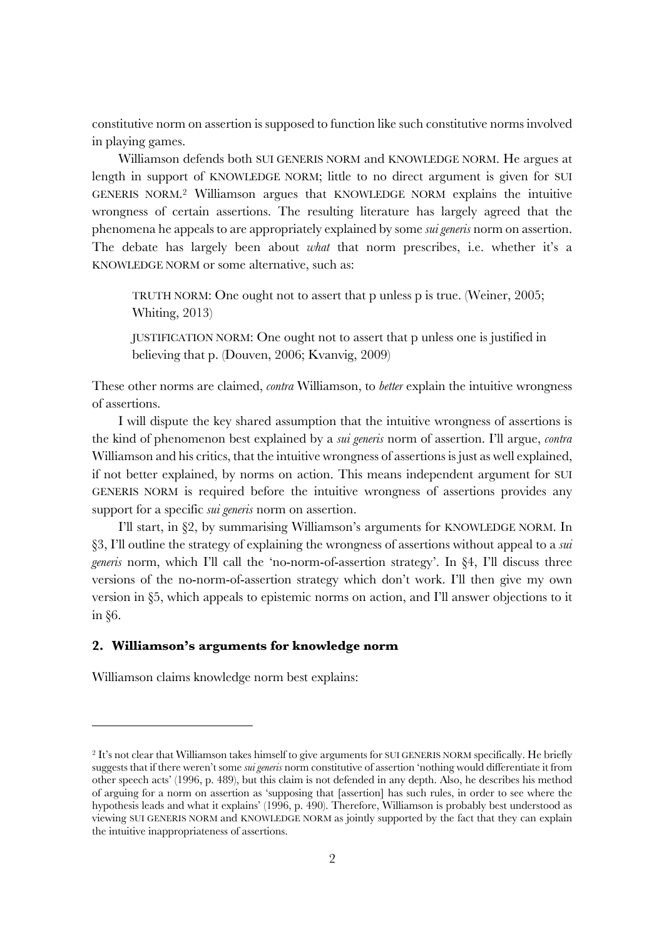constitutive norm on assertion is supposed to function like such constitutive norms involved in playing games.

Williamson defends both SUI GENERIS NORM and KNOWLEDGE NORM. He argues at length in support of KNOWLEDGE NORM; little to no direct argument is given for SUI GENERIS NORM. <sup>2</sup> Williamson argues that KNOWLEDGE NORM explains the intuitive wrongness of certain assertions. The resulting literature has largely agreed that the phenomena he appeals to are appropriately explained by some *sui generis* norm on assertion. The debate has largely been about *what* that norm prescribes, i.e. whether it's a KNOWLEDGE NORM or some alternative, such as:

TRUTH NORM: One ought not to assert that p unless p is true. (Weiner, 2005; Whiting, 2013)

JUSTIFICATION NORM: One ought not to assert that p unless one is justified in believing that p. (Douven, 2006; Kvanvig, 2009)

These other norms are claimed, *contra* Williamson, to *better* explain the intuitive wrongness of assertions.

I will dispute the key shared assumption that the intuitive wrongness of assertions is the kind of phenomenon best explained by a *sui generis* norm of assertion. I'll argue, *contra* Williamson and his critics, that the intuitive wrongness of assertions is just as well explained, if not better explained, by norms on action. This means independent argument for SUI GENERIS NORM is required before the intuitive wrongness of assertions provides any support for a specific *sui generis* norm on assertion.

I'll start, in §2, by summarising Williamson's arguments for KNOWLEDGE NORM. In §3, I'll outline the strategy of explaining the wrongness of assertions without appeal to a *sui generis* norm, which I'll call the 'no-norm-of-assertion strategy'. In §4, I'll discuss three versions of the no-norm-of-assertion strategy which don't work. I'll then give my own version in §5, which appeals to epistemic norms on action, and I'll answer objections to it in §6.

### **2. Williamson's arguments for knowledge norm**

Williamson claims knowledge norm best explains:

<sup>2</sup> It's not clear that Williamson takes himself to give arguments for SUI GENERIS NORM specifically. He briefly suggests that if there weren't some *sui generis* norm constitutive of assertion 'nothing would differentiate it from other speech acts' (1996, p. 489), but this claim is not defended in any depth. Also, he describes his method of arguing for a norm on assertion as 'supposing that [assertion] has such rules, in order to see where the hypothesis leads and what it explains' (1996, p. 490). Therefore, Williamson is probably best understood as viewing SUI GENERIS NORM and KNOWLEDGE NORM as jointly supported by the fact that they can explain the intuitive inappropriateness of assertions.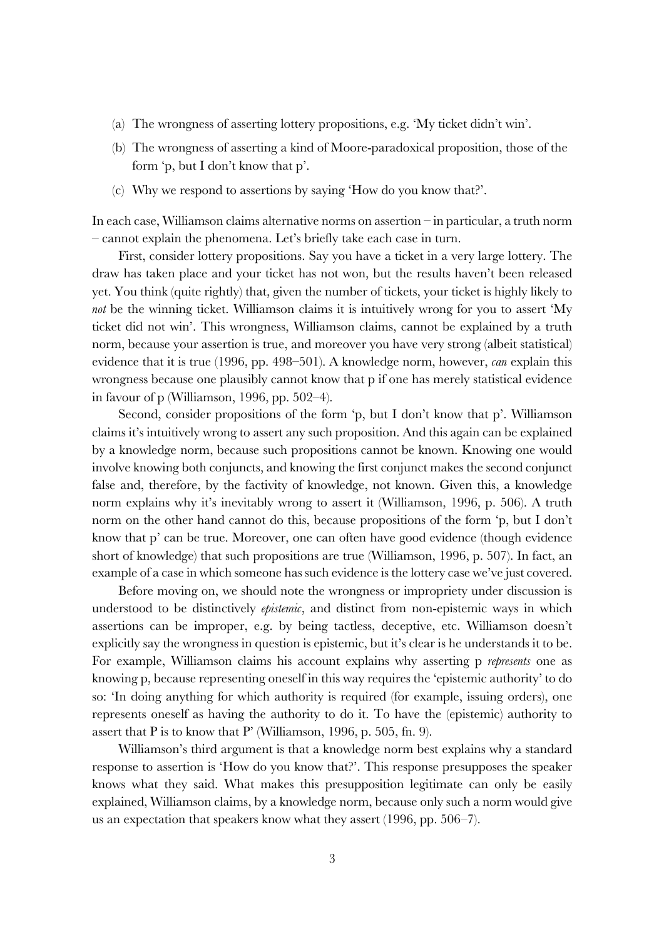- (a) The wrongness of asserting lottery propositions, e.g. 'My ticket didn't win'.
- (b) The wrongness of asserting a kind of Moore-paradoxical proposition, those of the form 'p, but I don't know that p'.
- (c) Why we respond to assertions by saying 'How do you know that?'.

In each case, Williamson claims alternative norms on assertion – in particular, a truth norm – cannot explain the phenomena. Let's briefly take each case in turn.

First, consider lottery propositions. Say you have a ticket in a very large lottery. The draw has taken place and your ticket has not won, but the results haven't been released yet. You think (quite rightly) that, given the number of tickets, your ticket is highly likely to *not* be the winning ticket. Williamson claims it is intuitively wrong for you to assert 'My ticket did not win'. This wrongness, Williamson claims, cannot be explained by a truth norm, because your assertion is true, and moreover you have very strong (albeit statistical) evidence that it is true (1996, pp. 498–501). A knowledge norm, however, *can* explain this wrongness because one plausibly cannot know that p if one has merely statistical evidence in favour of p (Williamson, 1996, pp. 502–4).

Second, consider propositions of the form 'p, but I don't know that p'. Williamson claims it's intuitively wrong to assert any such proposition. And this again can be explained by a knowledge norm, because such propositions cannot be known. Knowing one would involve knowing both conjuncts, and knowing the first conjunct makes the second conjunct false and, therefore, by the factivity of knowledge, not known. Given this, a knowledge norm explains why it's inevitably wrong to assert it (Williamson, 1996, p. 506). A truth norm on the other hand cannot do this, because propositions of the form 'p, but I don't know that p' can be true. Moreover, one can often have good evidence (though evidence short of knowledge) that such propositions are true (Williamson, 1996, p. 507). In fact, an example of a case in which someone has such evidence is the lottery case we've just covered.

Before moving on, we should note the wrongness or impropriety under discussion is understood to be distinctively *epistemic*, and distinct from non-epistemic ways in which assertions can be improper, e.g. by being tactless, deceptive, etc. Williamson doesn't explicitly say the wrongness in question is epistemic, but it's clear is he understands it to be. For example, Williamson claims his account explains why asserting p *represents* one as knowing p, because representing oneself in this way requires the 'epistemic authority' to do so: 'In doing anything for which authority is required (for example, issuing orders), one represents oneself as having the authority to do it. To have the (epistemic) authority to assert that  $P$  is to know that  $P'$  (Williamson, 1996, p. 505, fn. 9).

Williamson's third argument is that a knowledge norm best explains why a standard response to assertion is 'How do you know that?'. This response presupposes the speaker knows what they said. What makes this presupposition legitimate can only be easily explained, Williamson claims, by a knowledge norm, because only such a norm would give us an expectation that speakers know what they assert (1996, pp. 506–7).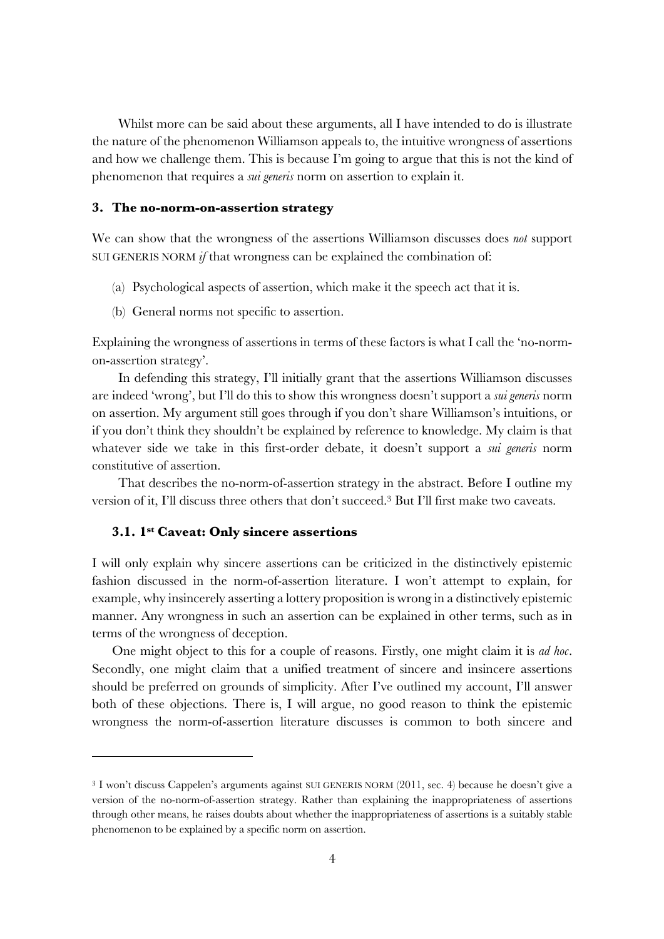Whilst more can be said about these arguments, all I have intended to do is illustrate the nature of the phenomenon Williamson appeals to, the intuitive wrongness of assertions and how we challenge them. This is because I'm going to argue that this is not the kind of phenomenon that requires a *sui generis* norm on assertion to explain it.

#### **3. The no-norm-on-assertion strategy**

We can show that the wrongness of the assertions Williamson discusses does *not* support SUI GENERIS NORM *if* that wrongness can be explained the combination of:

- (a) Psychological aspects of assertion, which make it the speech act that it is.
- (b) General norms not specific to assertion.

Explaining the wrongness of assertions in terms of these factors is what I call the 'no-normon-assertion strategy'.

In defending this strategy, I'll initially grant that the assertions Williamson discusses are indeed 'wrong', but I'll do this to show this wrongness doesn't support a *sui generis* norm on assertion. My argument still goes through if you don't share Williamson's intuitions, or if you don't think they shouldn't be explained by reference to knowledge. My claim is that whatever side we take in this first-order debate, it doesn't support a *sui generis* norm constitutive of assertion.

That describes the no-norm-of-assertion strategy in the abstract. Before I outline my version of it, I'll discuss three others that don't succeed.3 But I'll first make two caveats.

### **3.1. 1st Caveat: Only sincere assertions**

I will only explain why sincere assertions can be criticized in the distinctively epistemic fashion discussed in the norm-of-assertion literature. I won't attempt to explain, for example, why insincerely asserting a lottery proposition is wrong in a distinctively epistemic manner. Any wrongness in such an assertion can be explained in other terms, such as in terms of the wrongness of deception.

One might object to this for a couple of reasons. Firstly, one might claim it is *ad hoc*. Secondly, one might claim that a unified treatment of sincere and insincere assertions should be preferred on grounds of simplicity. After I've outlined my account, I'll answer both of these objections. There is, I will argue, no good reason to think the epistemic wrongness the norm-of-assertion literature discusses is common to both sincere and

<sup>3</sup> I won't discuss Cappelen's arguments against SUI GENERIS NORM (2011, sec. 4) because he doesn't give a version of the no-norm-of-assertion strategy. Rather than explaining the inappropriateness of assertions through other means, he raises doubts about whether the inappropriateness of assertions is a suitably stable phenomenon to be explained by a specific norm on assertion.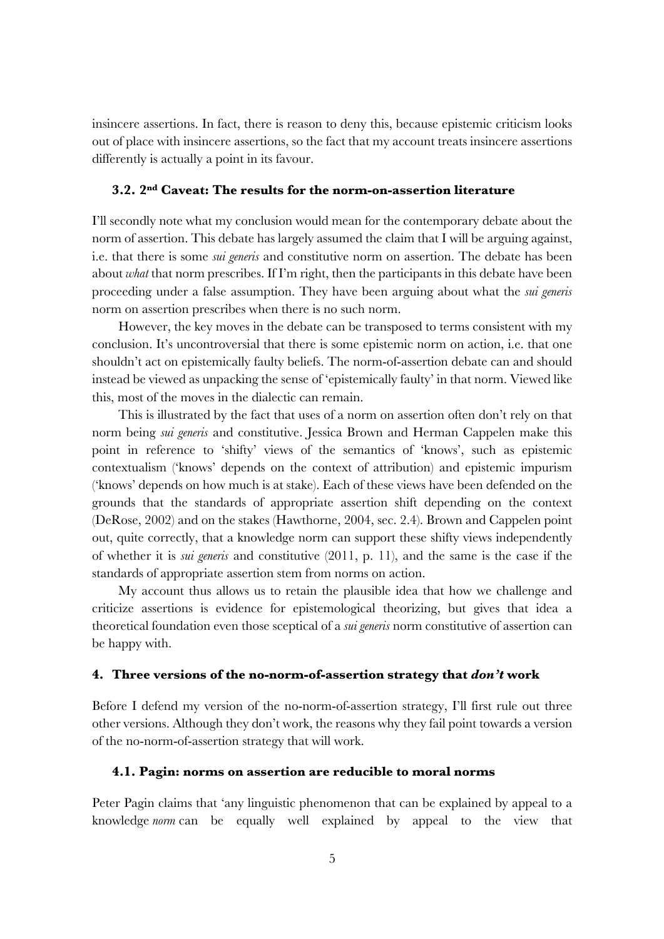insincere assertions. In fact, there is reason to deny this, because epistemic criticism looks out of place with insincere assertions, so the fact that my account treats insincere assertions differently is actually a point in its favour.

# **3.2. 2nd Caveat: The results for the norm-on-assertion literature**

I'll secondly note what my conclusion would mean for the contemporary debate about the norm of assertion. This debate has largely assumed the claim that I will be arguing against, i.e. that there is some *sui generis* and constitutive norm on assertion. The debate has been about *what* that norm prescribes. If I'm right, then the participants in this debate have been proceeding under a false assumption. They have been arguing about what the *sui generis* norm on assertion prescribes when there is no such norm.

However, the key moves in the debate can be transposed to terms consistent with my conclusion. It's uncontroversial that there is some epistemic norm on action, i.e. that one shouldn't act on epistemically faulty beliefs. The norm-of-assertion debate can and should instead be viewed as unpacking the sense of 'epistemically faulty' in that norm. Viewed like this, most of the moves in the dialectic can remain.

This is illustrated by the fact that uses of a norm on assertion often don't rely on that norm being *sui generis* and constitutive. Jessica Brown and Herman Cappelen make this point in reference to 'shifty' views of the semantics of 'knows', such as epistemic contextualism ('knows' depends on the context of attribution) and epistemic impurism ('knows' depends on how much is at stake). Each of these views have been defended on the grounds that the standards of appropriate assertion shift depending on the context (DeRose, 2002) and on the stakes (Hawthorne, 2004, sec. 2.4). Brown and Cappelen point out, quite correctly, that a knowledge norm can support these shifty views independently of whether it is *sui generis* and constitutive (2011, p. 11), and the same is the case if the standards of appropriate assertion stem from norms on action.

My account thus allows us to retain the plausible idea that how we challenge and criticize assertions is evidence for epistemological theorizing, but gives that idea a theoretical foundation even those sceptical of a *sui generis* norm constitutive of assertion can be happy with.

### **4. Three versions of the no-norm-of-assertion strategy that** *don't* **work**

Before I defend my version of the no-norm-of-assertion strategy, I'll first rule out three other versions. Although they don't work, the reasons why they fail point towards a version of the no-norm-of-assertion strategy that will work.

### **4.1. Pagin: norms on assertion are reducible to moral norms**

Peter Pagin claims that 'any linguistic phenomenon that can be explained by appeal to a knowledge *norm* can be equally well explained by appeal to the view that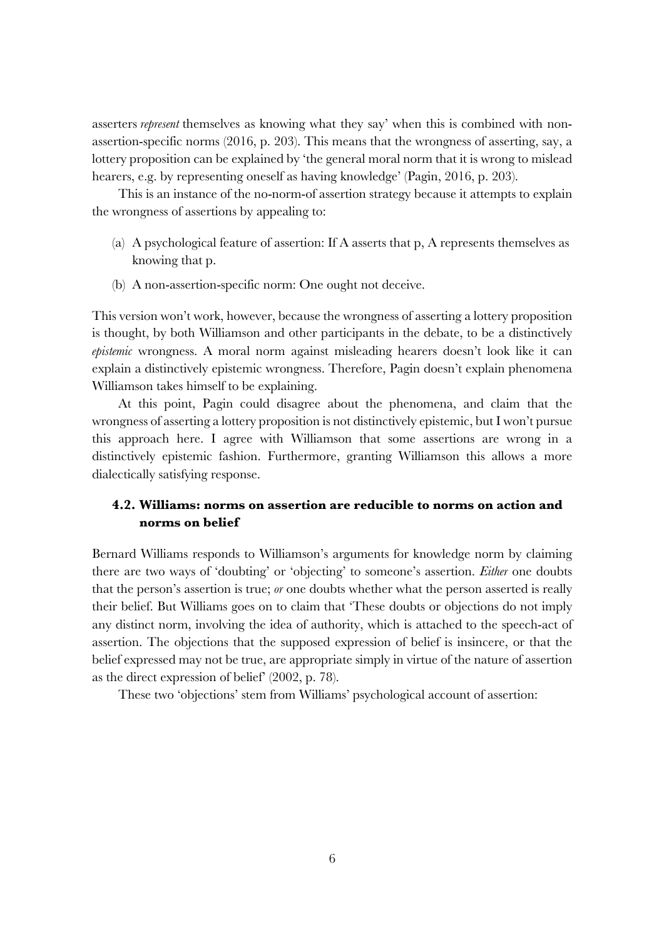asserters *represent* themselves as knowing what they say' when this is combined with nonassertion-specific norms (2016, p. 203). This means that the wrongness of asserting, say, a lottery proposition can be explained by 'the general moral norm that it is wrong to mislead hearers, e.g. by representing oneself as having knowledge' (Pagin, 2016, p. 203).

This is an instance of the no-norm-of assertion strategy because it attempts to explain the wrongness of assertions by appealing to:

- (a) A psychological feature of assertion: If A asserts that p, A represents themselves as knowing that p.
- (b) A non-assertion-specific norm: One ought not deceive.

This version won't work, however, because the wrongness of asserting a lottery proposition is thought, by both Williamson and other participants in the debate, to be a distinctively *epistemic* wrongness. A moral norm against misleading hearers doesn't look like it can explain a distinctively epistemic wrongness. Therefore, Pagin doesn't explain phenomena Williamson takes himself to be explaining.

At this point, Pagin could disagree about the phenomena, and claim that the wrongness of asserting a lottery proposition is not distinctively epistemic, but I won't pursue this approach here. I agree with Williamson that some assertions are wrong in a distinctively epistemic fashion. Furthermore, granting Williamson this allows a more dialectically satisfying response.

# **4.2. Williams: norms on assertion are reducible to norms on action and norms on belief**

Bernard Williams responds to Williamson's arguments for knowledge norm by claiming there are two ways of 'doubting' or 'objecting' to someone's assertion. *Either* one doubts that the person's assertion is true; *or* one doubts whether what the person asserted is really their belief. But Williams goes on to claim that 'These doubts or objections do not imply any distinct norm, involving the idea of authority, which is attached to the speech-act of assertion. The objections that the supposed expression of belief is insincere, or that the belief expressed may not be true, are appropriate simply in virtue of the nature of assertion as the direct expression of belief' (2002, p. 78).

These two 'objections' stem from Williams' psychological account of assertion: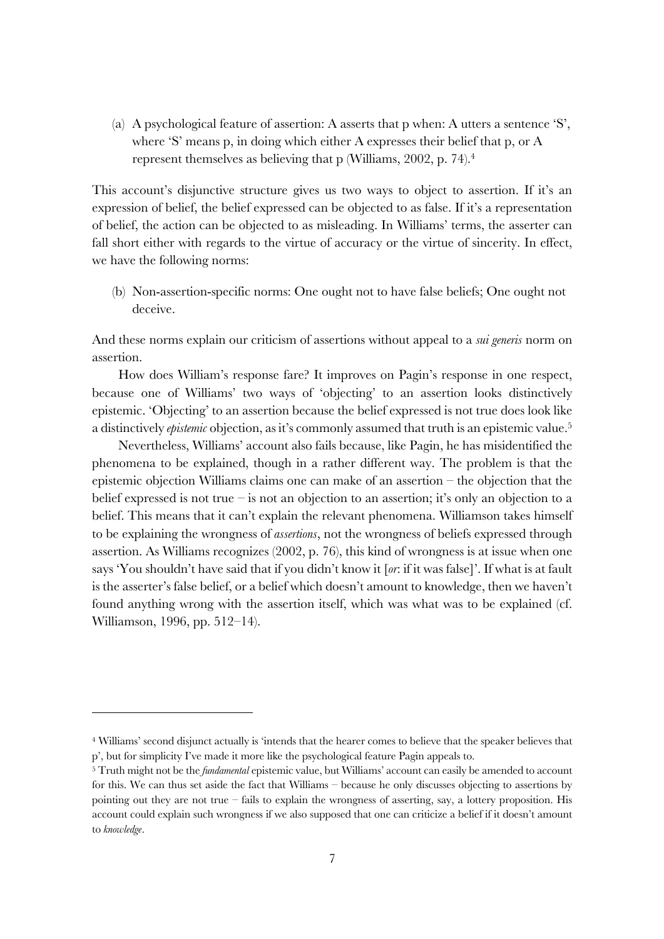(a) A psychological feature of assertion: A asserts that p when: A utters a sentence 'S', where 'S' means p, in doing which either A expresses their belief that p, or A represent themselves as believing that p (Williams, 2002, p. 74).4

This account's disjunctive structure gives us two ways to object to assertion. If it's an expression of belief, the belief expressed can be objected to as false. If it's a representation of belief, the action can be objected to as misleading. In Williams' terms, the asserter can fall short either with regards to the virtue of accuracy or the virtue of sincerity. In effect, we have the following norms:

(b) Non-assertion-specific norms: One ought not to have false beliefs; One ought not deceive.

And these norms explain our criticism of assertions without appeal to a *sui generis* norm on assertion.

How does William's response fare? It improves on Pagin's response in one respect, because one of Williams' two ways of 'objecting' to an assertion looks distinctively epistemic. 'Objecting' to an assertion because the belief expressed is not true does look like a distinctively *epistemic* objection, as it's commonly assumed that truth is an epistemic value. 5

Nevertheless, Williams' account also fails because, like Pagin, he has misidentified the phenomena to be explained, though in a rather different way. The problem is that the epistemic objection Williams claims one can make of an assertion – the objection that the belief expressed is not true – is not an objection to an assertion; it's only an objection to a belief. This means that it can't explain the relevant phenomena. Williamson takes himself to be explaining the wrongness of *assertions*, not the wrongness of beliefs expressed through assertion. As Williams recognizes (2002, p. 76), this kind of wrongness is at issue when one says 'You shouldn't have said that if you didn't know it [*or*: if it was false]'. If what is at fault is the asserter's false belief, or a belief which doesn't amount to knowledge, then we haven't found anything wrong with the assertion itself, which was what was to be explained (cf. Williamson, 1996, pp. 512–14).

<sup>4</sup> Williams' second disjunct actually is 'intends that the hearer comes to believe that the speaker believes that p', but for simplicity I've made it more like the psychological feature Pagin appeals to.

<sup>5</sup> Truth might not be the *fundamental* epistemic value, but Williams' account can easily be amended to account for this. We can thus set aside the fact that Williams – because he only discusses objecting to assertions by pointing out they are not true – fails to explain the wrongness of asserting, say, a lottery proposition. His account could explain such wrongness if we also supposed that one can criticize a belief if it doesn't amount to *knowledge*.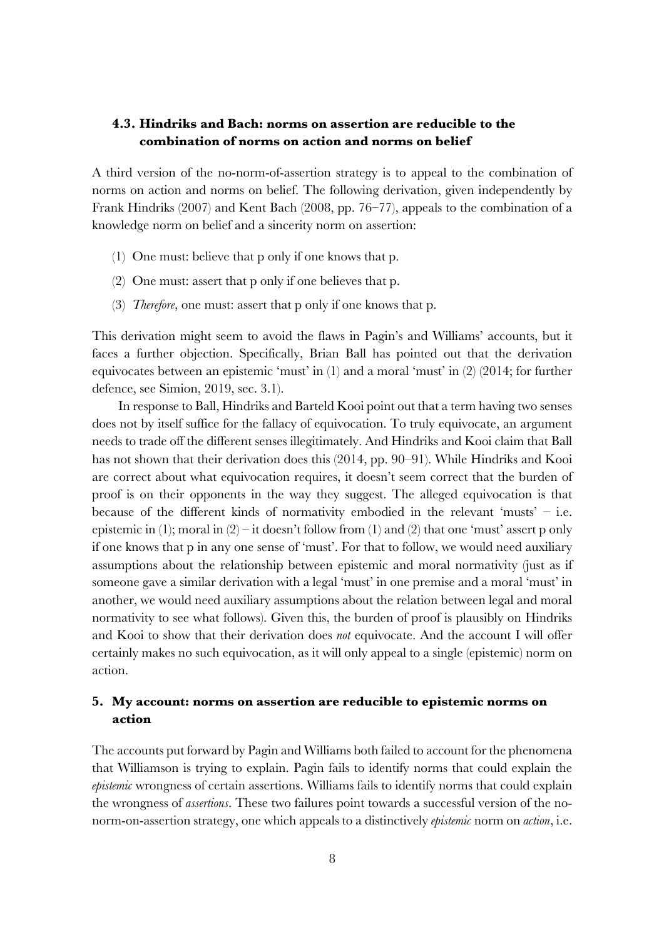# **4.3. Hindriks and Bach: norms on assertion are reducible to the combination of norms on action and norms on belief**

A third version of the no-norm-of-assertion strategy is to appeal to the combination of norms on action and norms on belief. The following derivation, given independently by Frank Hindriks (2007) and Kent Bach (2008, pp. 76–77), appeals to the combination of a knowledge norm on belief and a sincerity norm on assertion:

- (1) One must: believe that p only if one knows that p.
- (2) One must: assert that p only if one believes that p.
- (3) *Therefore*, one must: assert that p only if one knows that p.

This derivation might seem to avoid the flaws in Pagin's and Williams' accounts, but it faces a further objection. Specifically, Brian Ball has pointed out that the derivation equivocates between an epistemic 'must' in (1) and a moral 'must' in (2) (2014; for further defence, see Simion, 2019, sec. 3.1).

In response to Ball, Hindriks and Barteld Kooi point out that a term having two senses does not by itself suffice for the fallacy of equivocation. To truly equivocate, an argument needs to trade off the different senses illegitimately. And Hindriks and Kooi claim that Ball has not shown that their derivation does this (2014, pp. 90–91). While Hindriks and Kooi are correct about what equivocation requires, it doesn't seem correct that the burden of proof is on their opponents in the way they suggest. The alleged equivocation is that because of the different kinds of normativity embodied in the relevant 'musts' – i.e. epistemic in (1); moral in  $(2)$  – it doesn't follow from (1) and (2) that one 'must' assert p only if one knows that p in any one sense of 'must'. For that to follow, we would need auxiliary assumptions about the relationship between epistemic and moral normativity (just as if someone gave a similar derivation with a legal 'must' in one premise and a moral 'must' in another, we would need auxiliary assumptions about the relation between legal and moral normativity to see what follows). Given this, the burden of proof is plausibly on Hindriks and Kooi to show that their derivation does *not* equivocate. And the account I will offer certainly makes no such equivocation, as it will only appeal to a single (epistemic) norm on action.

# **5. My account: norms on assertion are reducible to epistemic norms on action**

The accounts put forward by Pagin and Williams both failed to account for the phenomena that Williamson is trying to explain. Pagin fails to identify norms that could explain the *epistemic* wrongness of certain assertions. Williams fails to identify norms that could explain the wrongness of *assertions*. These two failures point towards a successful version of the nonorm-on-assertion strategy, one which appeals to a distinctively *epistemic* norm on *action*, i.e.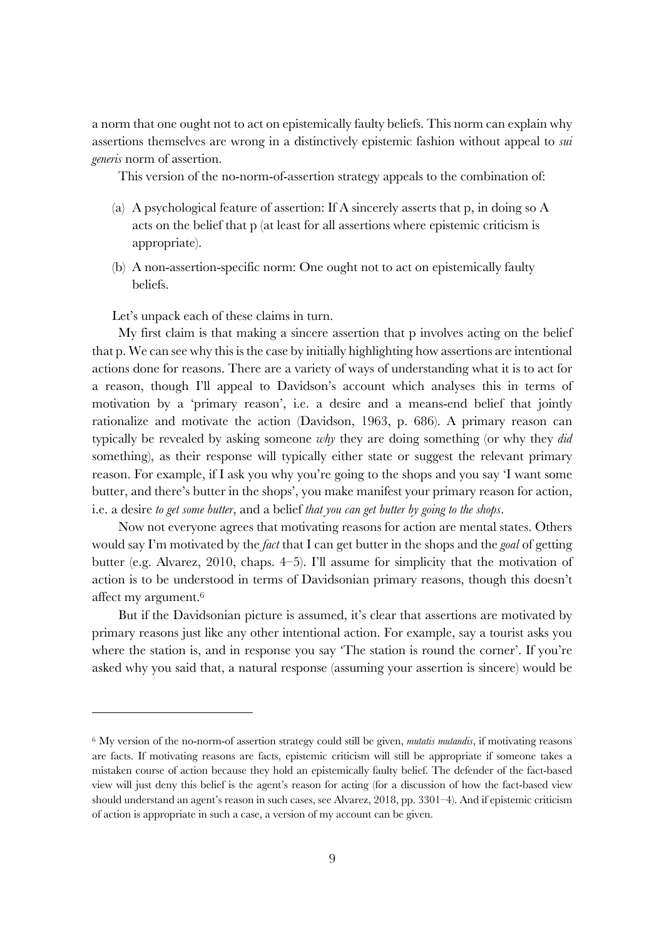a norm that one ought not to act on epistemically faulty beliefs. This norm can explain why assertions themselves are wrong in a distinctively epistemic fashion without appeal to *sui generis* norm of assertion.

This version of the no-norm-of-assertion strategy appeals to the combination of:

- (a) A psychological feature of assertion: If A sincerely asserts that p, in doing so A acts on the belief that p (at least for all assertions where epistemic criticism is appropriate).
- (b) A non-assertion-specific norm: One ought not to act on epistemically faulty beliefs.

Let's unpack each of these claims in turn.

My first claim is that making a sincere assertion that p involves acting on the belief that p. We can see why this is the case by initially highlighting how assertions are intentional actions done for reasons. There are a variety of ways of understanding what it is to act for a reason, though I'll appeal to Davidson's account which analyses this in terms of motivation by a 'primary reason', i.e. a desire and a means-end belief that jointly rationalize and motivate the action (Davidson, 1963, p. 686). A primary reason can typically be revealed by asking someone *why* they are doing something (or why they *did* something), as their response will typically either state or suggest the relevant primary reason. For example, if I ask you why you're going to the shops and you say 'I want some butter, and there's butter in the shops', you make manifest your primary reason for action, i.e. a desire *to get some butter*, and a belief *that you can get butter by going to the shops*.

Now not everyone agrees that motivating reasons for action are mental states. Others would say I'm motivated by the *fact* that I can get butter in the shops and the *goal* of getting butter (e.g. Alvarez, 2010, chaps. 4–5). I'll assume for simplicity that the motivation of action is to be understood in terms of Davidsonian primary reasons, though this doesn't affect my argument.6

But if the Davidsonian picture is assumed, it's clear that assertions are motivated by primary reasons just like any other intentional action. For example, say a tourist asks you where the station is, and in response you say 'The station is round the corner'. If you're asked why you said that, a natural response (assuming your assertion is sincere) would be

<sup>6</sup> My version of the no-norm-of assertion strategy could still be given, *mutatis mutandis*, if motivating reasons are facts. If motivating reasons are facts, epistemic criticism will still be appropriate if someone takes a mistaken course of action because they hold an epistemically faulty belief. The defender of the fact-based view will just deny this belief is the agent's reason for acting (for a discussion of how the fact-based view should understand an agent's reason in such cases, see Alvarez, 2018, pp. 3301–4). And if epistemic criticism of action is appropriate in such a case, a version of my account can be given.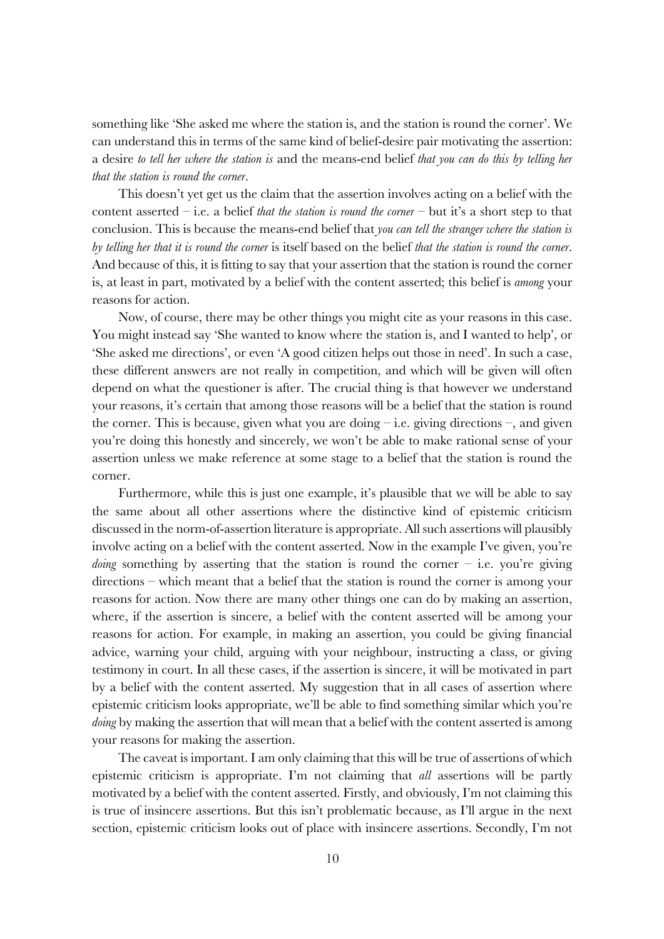something like 'She asked me where the station is, and the station is round the corner'. We can understand this in terms of the same kind of belief-desire pair motivating the assertion: a desire *to tell her where the station is* and the means-end belief *that you can do this by telling her that the station is round the corner*.

This doesn't yet get us the claim that the assertion involves acting on a belief with the content asserted – i.e. a belief *that the station is round the corner* – but it's a short step to that conclusion. This is because the means-end belief that *you can tell the stranger where the station is by telling her that it is round the corner* is itself based on the belief *that the station is round the corner*. And because of this, it is fitting to say that your assertion that the station is round the corner is, at least in part, motivated by a belief with the content asserted; this belief is *among* your reasons for action.

Now, of course, there may be other things you might cite as your reasons in this case. You might instead say 'She wanted to know where the station is, and I wanted to help', or 'She asked me directions', or even 'A good citizen helps out those in need'. In such a case, these different answers are not really in competition, and which will be given will often depend on what the questioner is after. The crucial thing is that however we understand your reasons, it's certain that among those reasons will be a belief that the station is round the corner. This is because, given what you are doing  $-$  i.e. giving directions  $-$ , and given you're doing this honestly and sincerely, we won't be able to make rational sense of your assertion unless we make reference at some stage to a belief that the station is round the corner.

Furthermore, while this is just one example, it's plausible that we will be able to say the same about all other assertions where the distinctive kind of epistemic criticism discussed in the norm-of-assertion literature is appropriate. All such assertions will plausibly involve acting on a belief with the content asserted. Now in the example I've given, you're *doing* something by asserting that the station is round the corner  $-$  i.e. you're giving directions – which meant that a belief that the station is round the corner is among your reasons for action. Now there are many other things one can do by making an assertion, where, if the assertion is sincere, a belief with the content asserted will be among your reasons for action. For example, in making an assertion, you could be giving financial advice, warning your child, arguing with your neighbour, instructing a class, or giving testimony in court. In all these cases, if the assertion is sincere, it will be motivated in part by a belief with the content asserted. My suggestion that in all cases of assertion where epistemic criticism looks appropriate, we'll be able to find something similar which you're *doing* by making the assertion that will mean that a belief with the content asserted is among your reasons for making the assertion.

The caveat is important. I am only claiming that this will be true of assertions of which epistemic criticism is appropriate. I'm not claiming that *all* assertions will be partly motivated by a belief with the content asserted. Firstly, and obviously, I'm not claiming this is true of insincere assertions. But this isn't problematic because, as I'll argue in the next section, epistemic criticism looks out of place with insincere assertions. Secondly, I'm not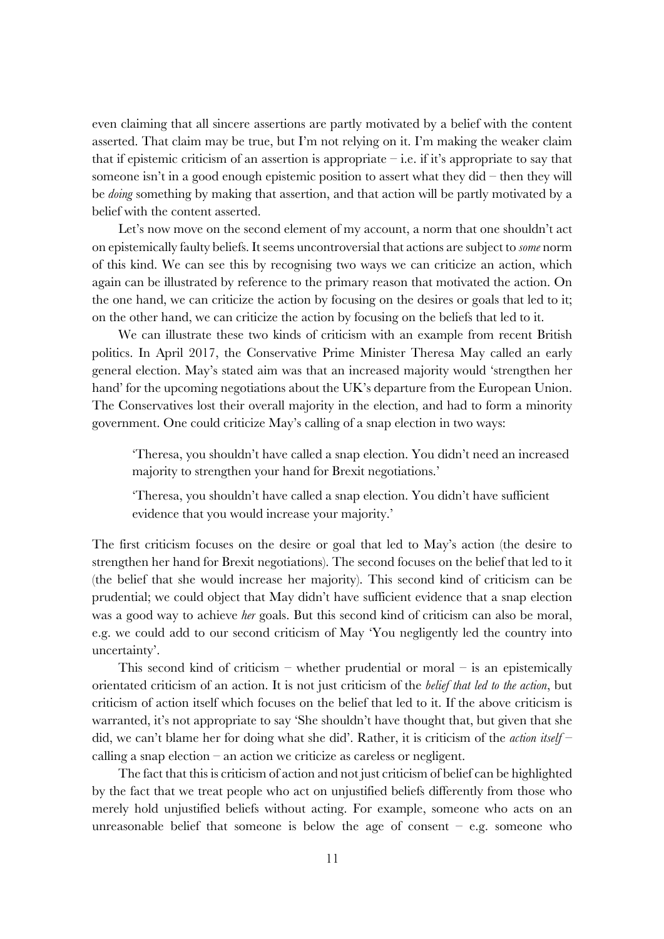even claiming that all sincere assertions are partly motivated by a belief with the content asserted. That claim may be true, but I'm not relying on it. I'm making the weaker claim that if epistemic criticism of an assertion is appropriate  $-i.e.$  if it's appropriate to say that someone isn't in a good enough epistemic position to assert what they did – then they will be *doing* something by making that assertion, and that action will be partly motivated by a belief with the content asserted.

Let's now move on the second element of my account, a norm that one shouldn't act on epistemically faulty beliefs. It seems uncontroversial that actions are subject to *some* norm of this kind. We can see this by recognising two ways we can criticize an action, which again can be illustrated by reference to the primary reason that motivated the action. On the one hand, we can criticize the action by focusing on the desires or goals that led to it; on the other hand, we can criticize the action by focusing on the beliefs that led to it.

We can illustrate these two kinds of criticism with an example from recent British politics. In April 2017, the Conservative Prime Minister Theresa May called an early general election. May's stated aim was that an increased majority would 'strengthen her hand' for the upcoming negotiations about the UK's departure from the European Union. The Conservatives lost their overall majority in the election, and had to form a minority government. One could criticize May's calling of a snap election in two ways:

'Theresa, you shouldn't have called a snap election. You didn't need an increased majority to strengthen your hand for Brexit negotiations.'

'Theresa, you shouldn't have called a snap election. You didn't have sufficient evidence that you would increase your majority.'

The first criticism focuses on the desire or goal that led to May's action (the desire to strengthen her hand for Brexit negotiations). The second focuses on the belief that led to it (the belief that she would increase her majority). This second kind of criticism can be prudential; we could object that May didn't have sufficient evidence that a snap election was a good way to achieve *her* goals. But this second kind of criticism can also be moral, e.g. we could add to our second criticism of May 'You negligently led the country into uncertainty'.

This second kind of criticism – whether prudential or moral – is an epistemically orientated criticism of an action. It is not just criticism of the *belief that led to the action*, but criticism of action itself which focuses on the belief that led to it. If the above criticism is warranted, it's not appropriate to say 'She shouldn't have thought that, but given that she did, we can't blame her for doing what she did'. Rather, it is criticism of the *action itself* – calling a snap election – an action we criticize as careless or negligent.

The fact that this is criticism of action and not just criticism of belief can be highlighted by the fact that we treat people who act on unjustified beliefs differently from those who merely hold unjustified beliefs without acting. For example, someone who acts on an unreasonable belief that someone is below the age of consent  $-$  e.g. someone who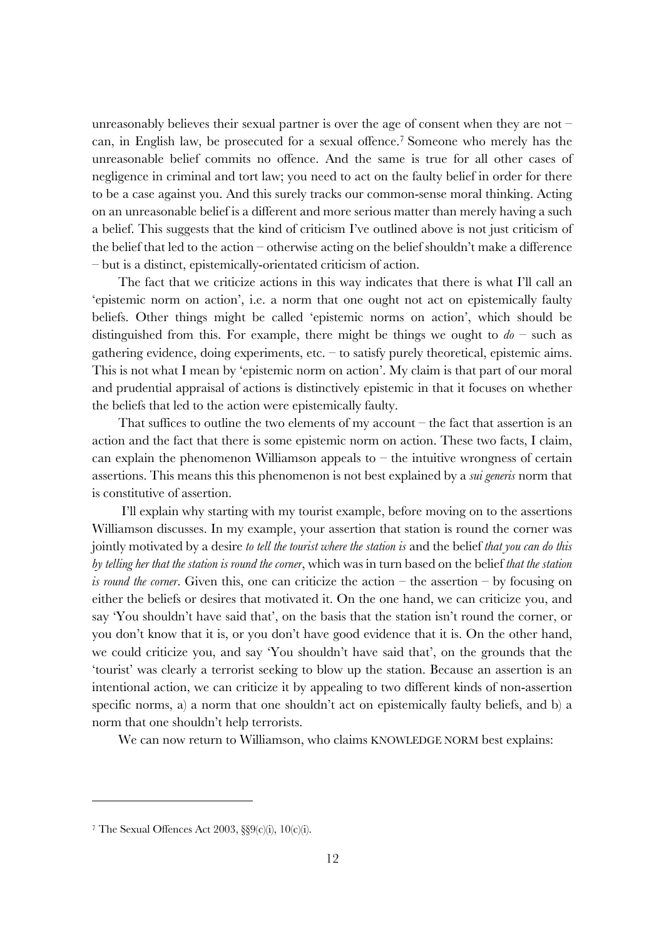unreasonably believes their sexual partner is over the age of consent when they are not – can, in English law, be prosecuted for a sexual offence. <sup>7</sup> Someone who merely has the unreasonable belief commits no offence. And the same is true for all other cases of negligence in criminal and tort law; you need to act on the faulty belief in order for there to be a case against you. And this surely tracks our common-sense moral thinking. Acting on an unreasonable belief is a different and more serious matter than merely having a such a belief. This suggests that the kind of criticism I've outlined above is not just criticism of the belief that led to the action – otherwise acting on the belief shouldn't make a difference – but is a distinct, epistemically-orientated criticism of action.

The fact that we criticize actions in this way indicates that there is what I'll call an 'epistemic norm on action', i.e. a norm that one ought not act on epistemically faulty beliefs. Other things might be called 'epistemic norms on action', which should be distinguished from this. For example, there might be things we ought to *do* – such as gathering evidence, doing experiments, etc. – to satisfy purely theoretical, epistemic aims. This is not what I mean by 'epistemic norm on action'. My claim is that part of our moral and prudential appraisal of actions is distinctively epistemic in that it focuses on whether the beliefs that led to the action were epistemically faulty.

That suffices to outline the two elements of my account – the fact that assertion is an action and the fact that there is some epistemic norm on action. These two facts, I claim, can explain the phenomenon Williamson appeals to  $-$  the intuitive wrongness of certain assertions. This means this this phenomenon is not best explained by a *sui generis* norm that is constitutive of assertion.

I'll explain why starting with my tourist example, before moving on to the assertions Williamson discusses. In my example, your assertion that station is round the corner was jointly motivated by a desire *to tell the tourist where the station is* and the belief *that you can do this by telling her that the station is round the corner*, which was in turn based on the belief *that the station is round the corner*. Given this, one can criticize the action – the assertion – by focusing on either the beliefs or desires that motivated it. On the one hand, we can criticize you, and say 'You shouldn't have said that', on the basis that the station isn't round the corner, or you don't know that it is, or you don't have good evidence that it is. On the other hand, we could criticize you, and say 'You shouldn't have said that', on the grounds that the 'tourist' was clearly a terrorist seeking to blow up the station. Because an assertion is an intentional action, we can criticize it by appealing to two different kinds of non-assertion specific norms, a) a norm that one shouldn't act on epistemically faulty beliefs, and b) a norm that one shouldn't help terrorists.

We can now return to Williamson, who claims KNOWLEDGE NORM best explains:

<sup>&</sup>lt;sup>7</sup> The Sexual Offences Act 2003,  $\S89(c)(i)$ ,  $10(c)(i)$ .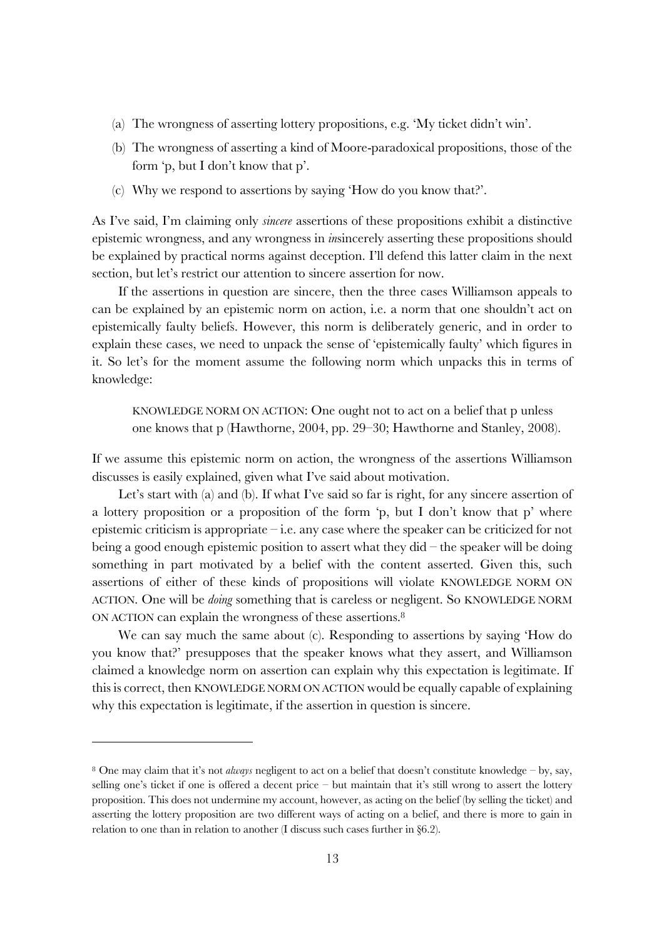- (a) The wrongness of asserting lottery propositions, e.g. 'My ticket didn't win'.
- (b) The wrongness of asserting a kind of Moore-paradoxical propositions, those of the form 'p, but I don't know that p'.
- (c) Why we respond to assertions by saying 'How do you know that?'.

As I've said, I'm claiming only *sincere* assertions of these propositions exhibit a distinctive epistemic wrongness, and any wrongness in *in*sincerely asserting these propositions should be explained by practical norms against deception. I'll defend this latter claim in the next section, but let's restrict our attention to sincere assertion for now.

If the assertions in question are sincere, then the three cases Williamson appeals to can be explained by an epistemic norm on action, i.e. a norm that one shouldn't act on epistemically faulty beliefs. However, this norm is deliberately generic, and in order to explain these cases, we need to unpack the sense of 'epistemically faulty' which figures in it. So let's for the moment assume the following norm which unpacks this in terms of knowledge:

KNOWLEDGE NORM ON ACTION: One ought not to act on a belief that p unless one knows that p (Hawthorne, 2004, pp. 29–30; Hawthorne and Stanley, 2008).

If we assume this epistemic norm on action, the wrongness of the assertions Williamson discusses is easily explained, given what I've said about motivation.

Let's start with (a) and (b). If what I've said so far is right, for any sincere assertion of a lottery proposition or a proposition of the form 'p, but I don't know that p' where epistemic criticism is appropriate – i.e. any case where the speaker can be criticized for not being a good enough epistemic position to assert what they did  $-$  the speaker will be doing something in part motivated by a belief with the content asserted. Given this, such assertions of either of these kinds of propositions will violate KNOWLEDGE NORM ON ACTION. One will be *doing* something that is careless or negligent. So KNOWLEDGE NORM ON ACTION can explain the wrongness of these assertions.8

We can say much the same about (c). Responding to assertions by saying 'How do you know that?' presupposes that the speaker knows what they assert, and Williamson claimed a knowledge norm on assertion can explain why this expectation is legitimate. If this is correct, then KNOWLEDGE NORM ON ACTION would be equally capable of explaining why this expectation is legitimate, if the assertion in question is sincere.

<sup>8</sup> One may claim that it's not *always* negligent to act on a belief that doesn't constitute knowledge – by, say, selling one's ticket if one is offered a decent price – but maintain that it's still wrong to assert the lottery proposition. This does not undermine my account, however, as acting on the belief (by selling the ticket) and asserting the lottery proposition are two different ways of acting on a belief, and there is more to gain in relation to one than in relation to another (I discuss such cases further in §6.2).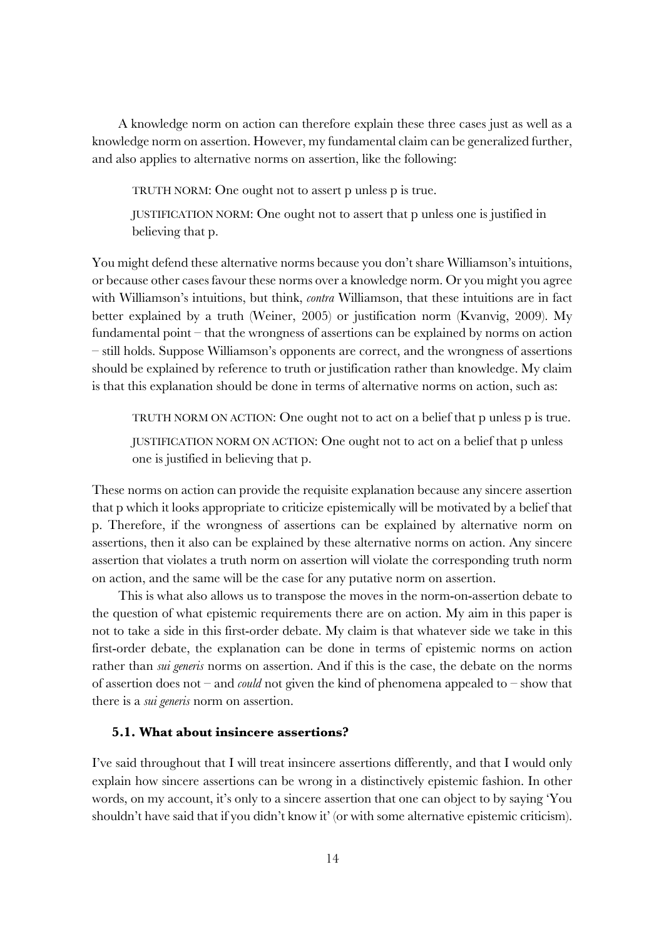A knowledge norm on action can therefore explain these three cases just as well as a knowledge norm on assertion. However, my fundamental claim can be generalized further, and also applies to alternative norms on assertion, like the following:

TRUTH NORM: One ought not to assert p unless p is true.

JUSTIFICATION NORM: One ought not to assert that p unless one is justified in believing that p.

You might defend these alternative norms because you don't share Williamson's intuitions, or because other cases favour these norms over a knowledge norm. Or you might you agree with Williamson's intuitions, but think, *contra* Williamson, that these intuitions are in fact better explained by a truth (Weiner, 2005) or justification norm (Kvanvig, 2009). My fundamental point – that the wrongness of assertions can be explained by norms on action – still holds. Suppose Williamson's opponents are correct, and the wrongness of assertions should be explained by reference to truth or justification rather than knowledge. My claim is that this explanation should be done in terms of alternative norms on action, such as:

TRUTH NORM ON ACTION: One ought not to act on a belief that p unless p is true.

JUSTIFICATION NORM ON ACTION: One ought not to act on a belief that p unless one is justified in believing that p.

These norms on action can provide the requisite explanation because any sincere assertion that p which it looks appropriate to criticize epistemically will be motivated by a belief that p. Therefore, if the wrongness of assertions can be explained by alternative norm on assertions, then it also can be explained by these alternative norms on action. Any sincere assertion that violates a truth norm on assertion will violate the corresponding truth norm on action, and the same will be the case for any putative norm on assertion.

This is what also allows us to transpose the moves in the norm-on-assertion debate to the question of what epistemic requirements there are on action. My aim in this paper is not to take a side in this first-order debate. My claim is that whatever side we take in this first-order debate, the explanation can be done in terms of epistemic norms on action rather than *sui generis* norms on assertion. And if this is the case, the debate on the norms of assertion does not – and *could* not given the kind of phenomena appealed to – show that there is a *sui generis* norm on assertion.

### **5.1. What about insincere assertions?**

I've said throughout that I will treat insincere assertions differently, and that I would only explain how sincere assertions can be wrong in a distinctively epistemic fashion. In other words, on my account, it's only to a sincere assertion that one can object to by saying 'You shouldn't have said that if you didn't know it' (or with some alternative epistemic criticism).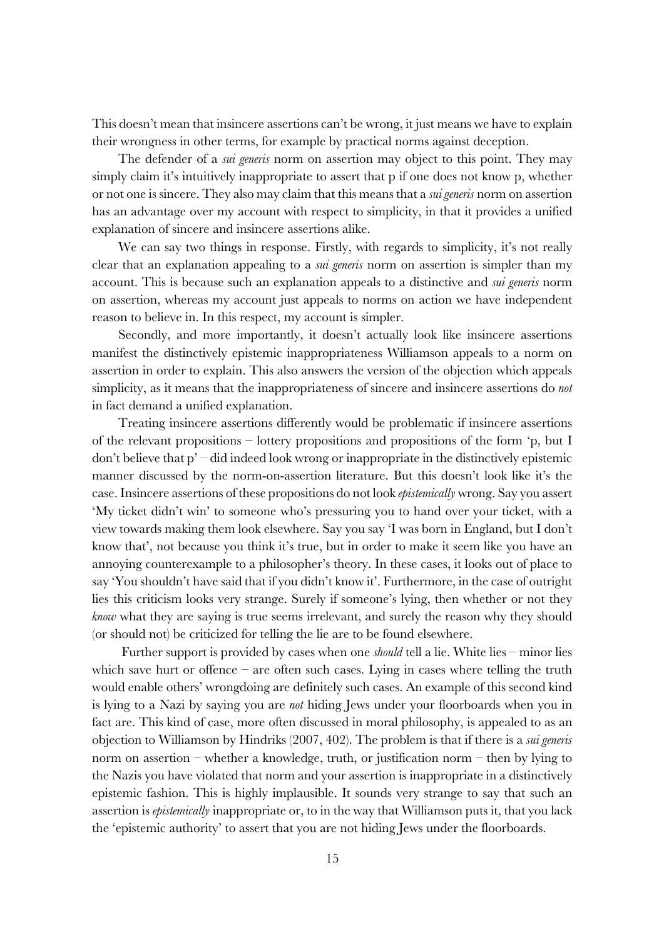This doesn't mean that insincere assertions can't be wrong, it just means we have to explain their wrongness in other terms, for example by practical norms against deception.

The defender of a *sui generis* norm on assertion may object to this point. They may simply claim it's intuitively inappropriate to assert that p if one does not know p, whether or not one is sincere. They also may claim that this means that a *sui generis* norm on assertion has an advantage over my account with respect to simplicity, in that it provides a unified explanation of sincere and insincere assertions alike.

We can say two things in response. Firstly, with regards to simplicity, it's not really clear that an explanation appealing to a *sui generis* norm on assertion is simpler than my account. This is because such an explanation appeals to a distinctive and *sui generis* norm on assertion, whereas my account just appeals to norms on action we have independent reason to believe in. In this respect, my account is simpler.

Secondly, and more importantly, it doesn't actually look like insincere assertions manifest the distinctively epistemic inappropriateness Williamson appeals to a norm on assertion in order to explain. This also answers the version of the objection which appeals simplicity, as it means that the inappropriateness of sincere and insincere assertions do *not* in fact demand a unified explanation.

Treating insincere assertions differently would be problematic if insincere assertions of the relevant propositions – lottery propositions and propositions of the form 'p, but I don't believe that p' – did indeed look wrong or inappropriate in the distinctively epistemic manner discussed by the norm-on-assertion literature. But this doesn't look like it's the case. Insincere assertions of these propositions do not look *epistemically* wrong. Say you assert 'My ticket didn't win' to someone who's pressuring you to hand over your ticket, with a view towards making them look elsewhere. Say you say 'I was born in England, but I don't know that', not because you think it's true, but in order to make it seem like you have an annoying counterexample to a philosopher's theory. In these cases, it looks out of place to say 'You shouldn't have said that if you didn't know it'. Furthermore, in the case of outright lies this criticism looks very strange. Surely if someone's lying, then whether or not they *know* what they are saying is true seems irrelevant, and surely the reason why they should (or should not) be criticized for telling the lie are to be found elsewhere.

Further support is provided by cases when one *should* tell a lie. White lies – minor lies which save hurt or offence – are often such cases. Lying in cases where telling the truth would enable others' wrongdoing are definitely such cases. An example of this second kind is lying to a Nazi by saying you are *not* hiding Jews under your floorboards when you in fact are. This kind of case, more often discussed in moral philosophy, is appealed to as an objection to Williamson by Hindriks (2007, 402). The problem is that if there is a *sui generis* norm on assertion – whether a knowledge, truth, or justification norm – then by lying to the Nazis you have violated that norm and your assertion is inappropriate in a distinctively epistemic fashion. This is highly implausible. It sounds very strange to say that such an assertion is *epistemically* inappropriate or, to in the way that Williamson puts it, that you lack the 'epistemic authority' to assert that you are not hiding Jews under the floorboards.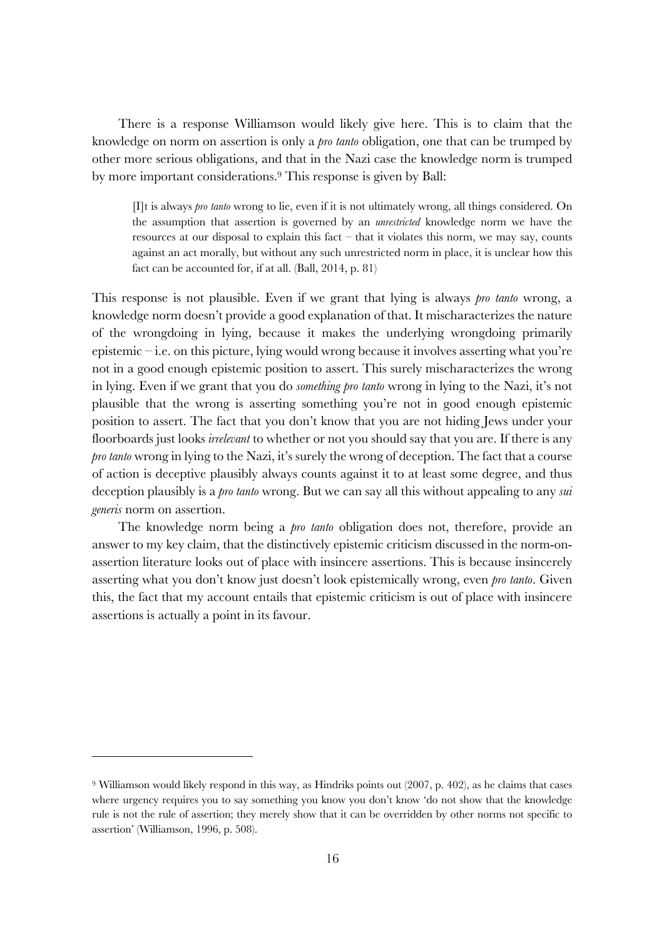There is a response Williamson would likely give here. This is to claim that the knowledge on norm on assertion is only a *pro tanto* obligation, one that can be trumped by other more serious obligations, and that in the Nazi case the knowledge norm is trumped by more important considerations.9 This response is given by Ball:

[I]t is always *pro tanto* wrong to lie, even if it is not ultimately wrong, all things considered. On the assumption that assertion is governed by an *unrestricted* knowledge norm we have the resources at our disposal to explain this fact – that it violates this norm, we may say, counts against an act morally, but without any such unrestricted norm in place, it is unclear how this fact can be accounted for, if at all. (Ball, 2014, p. 81)

This response is not plausible. Even if we grant that lying is always *pro tanto* wrong, a knowledge norm doesn't provide a good explanation of that. It mischaracterizes the nature of the wrongdoing in lying, because it makes the underlying wrongdoing primarily epistemic  $-i.e.$  on this picture, lying would wrong because it involves asserting what you're not in a good enough epistemic position to assert. This surely mischaracterizes the wrong in lying. Even if we grant that you do *something pro tanto* wrong in lying to the Nazi, it's not plausible that the wrong is asserting something you're not in good enough epistemic position to assert. The fact that you don't know that you are not hiding Jews under your floorboards just looks *irrelevant* to whether or not you should say that you are. If there is any *pro tanto* wrong in lying to the Nazi, it's surely the wrong of deception. The fact that a course of action is deceptive plausibly always counts against it to at least some degree, and thus deception plausibly is a *pro tanto* wrong. But we can say all this without appealing to any *sui generis* norm on assertion.

The knowledge norm being a *pro tanto* obligation does not, therefore, provide an answer to my key claim, that the distinctively epistemic criticism discussed in the norm-onassertion literature looks out of place with insincere assertions. This is because insincerely asserting what you don't know just doesn't look epistemically wrong, even *pro tanto*. Given this, the fact that my account entails that epistemic criticism is out of place with insincere assertions is actually a point in its favour.

<sup>9</sup> Williamson would likely respond in this way, as Hindriks points out (2007, p. 402), as he claims that cases where urgency requires you to say something you know you don't know 'do not show that the knowledge rule is not the rule of assertion; they merely show that it can be overridden by other norms not specific to assertion' (Williamson, 1996, p. 508).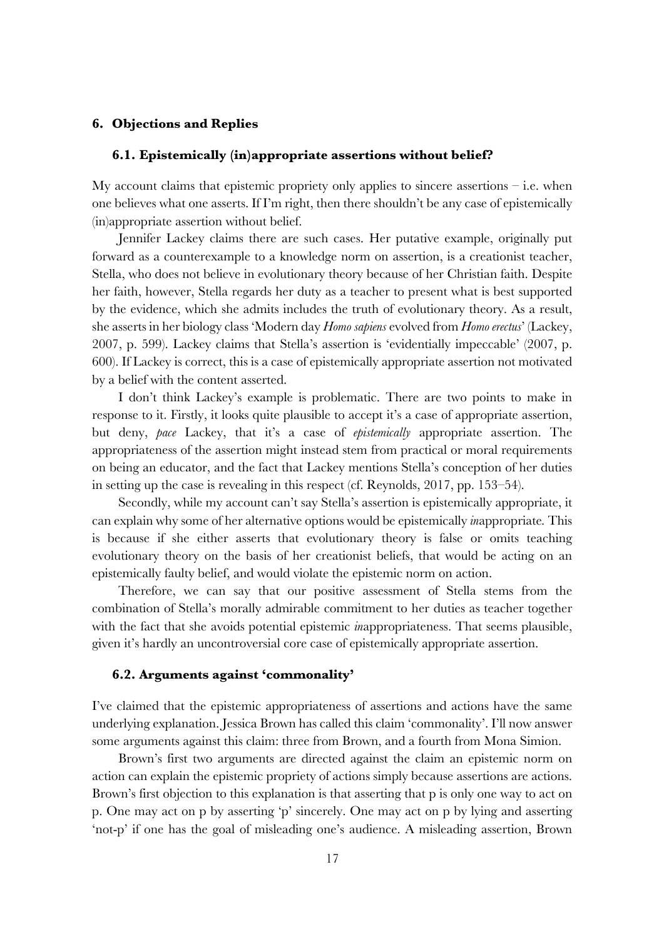### **6. Objections and Replies**

### **6.1. Epistemically (in)appropriate assertions without belief?**

My account claims that epistemic propriety only applies to sincere assertions  $-$  i.e. when one believes what one asserts. If I'm right, then there shouldn't be any case of epistemically (in)appropriate assertion without belief.

Jennifer Lackey claims there are such cases. Her putative example, originally put forward as a counterexample to a knowledge norm on assertion, is a creationist teacher, Stella, who does not believe in evolutionary theory because of her Christian faith. Despite her faith, however, Stella regards her duty as a teacher to present what is best supported by the evidence, which she admits includes the truth of evolutionary theory. As a result, she asserts in her biology class 'Modern day *Homo sapiens* evolved from *Homo erectus*' (Lackey, 2007, p. 599). Lackey claims that Stella's assertion is 'evidentially impeccable' (2007, p. 600). If Lackey is correct, this is a case of epistemically appropriate assertion not motivated by a belief with the content asserted.

I don't think Lackey's example is problematic. There are two points to make in response to it. Firstly, it looks quite plausible to accept it's a case of appropriate assertion, but deny, *pace* Lackey, that it's a case of *epistemically* appropriate assertion. The appropriateness of the assertion might instead stem from practical or moral requirements on being an educator, and the fact that Lackey mentions Stella's conception of her duties in setting up the case is revealing in this respect (cf. Reynolds, 2017, pp. 153–54).

Secondly, while my account can't say Stella's assertion is epistemically appropriate, it can explain why some of her alternative options would be epistemically *in*appropriate*.* This is because if she either asserts that evolutionary theory is false or omits teaching evolutionary theory on the basis of her creationist beliefs, that would be acting on an epistemically faulty belief, and would violate the epistemic norm on action.

Therefore, we can say that our positive assessment of Stella stems from the combination of Stella's morally admirable commitment to her duties as teacher together with the fact that she avoids potential epistemic *in*appropriateness. That seems plausible, given it's hardly an uncontroversial core case of epistemically appropriate assertion.

#### **6.2. Arguments against 'commonality'**

I've claimed that the epistemic appropriateness of assertions and actions have the same underlying explanation. Jessica Brown has called this claim 'commonality'. I'll now answer some arguments against this claim: three from Brown, and a fourth from Mona Simion.

Brown's first two arguments are directed against the claim an epistemic norm on action can explain the epistemic propriety of actions simply because assertions are actions. Brown's first objection to this explanation is that asserting that p is only one way to act on p. One may act on p by asserting 'p' sincerely. One may act on p by lying and asserting 'not-p' if one has the goal of misleading one's audience. A misleading assertion, Brown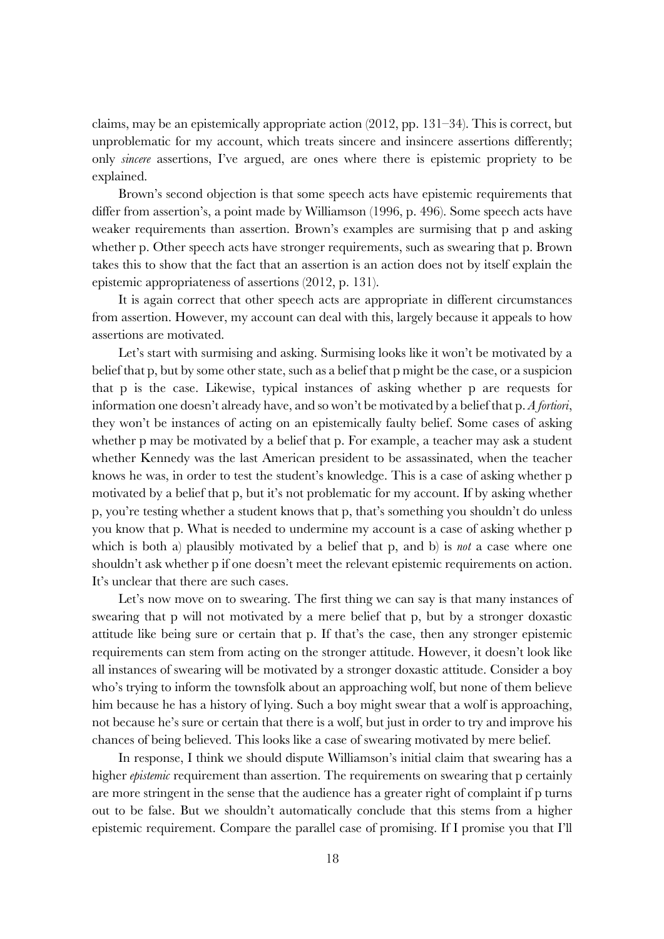claims, may be an epistemically appropriate action (2012, pp. 131–34). This is correct, but unproblematic for my account, which treats sincere and insincere assertions differently; only *sincere* assertions, I've argued, are ones where there is epistemic propriety to be explained.

Brown's second objection is that some speech acts have epistemic requirements that differ from assertion's, a point made by Williamson (1996, p. 496). Some speech acts have weaker requirements than assertion. Brown's examples are surmising that p and asking whether p. Other speech acts have stronger requirements, such as swearing that p. Brown takes this to show that the fact that an assertion is an action does not by itself explain the epistemic appropriateness of assertions (2012, p. 131).

It is again correct that other speech acts are appropriate in different circumstances from assertion. However, my account can deal with this, largely because it appeals to how assertions are motivated.

Let's start with surmising and asking. Surmising looks like it won't be motivated by a belief that p, but by some other state, such as a belief that p might be the case, or a suspicion that p is the case. Likewise, typical instances of asking whether p are requests for information one doesn't already have, and so won't be motivated by a belief that p. *A fortiori*, they won't be instances of acting on an epistemically faulty belief. Some cases of asking whether p may be motivated by a belief that p. For example, a teacher may ask a student whether Kennedy was the last American president to be assassinated, when the teacher knows he was, in order to test the student's knowledge. This is a case of asking whether p motivated by a belief that p, but it's not problematic for my account. If by asking whether p, you're testing whether a student knows that p, that's something you shouldn't do unless you know that p. What is needed to undermine my account is a case of asking whether p which is both a) plausibly motivated by a belief that p, and b) is *not* a case where one shouldn't ask whether p if one doesn't meet the relevant epistemic requirements on action. It's unclear that there are such cases.

Let's now move on to swearing. The first thing we can say is that many instances of swearing that p will not motivated by a mere belief that p, but by a stronger doxastic attitude like being sure or certain that p. If that's the case, then any stronger epistemic requirements can stem from acting on the stronger attitude. However, it doesn't look like all instances of swearing will be motivated by a stronger doxastic attitude. Consider a boy who's trying to inform the townsfolk about an approaching wolf, but none of them believe him because he has a history of lying. Such a boy might swear that a wolf is approaching, not because he's sure or certain that there is a wolf, but just in order to try and improve his chances of being believed. This looks like a case of swearing motivated by mere belief.

In response, I think we should dispute Williamson's initial claim that swearing has a higher *epistemic* requirement than assertion. The requirements on swearing that p certainly are more stringent in the sense that the audience has a greater right of complaint if p turns out to be false. But we shouldn't automatically conclude that this stems from a higher epistemic requirement. Compare the parallel case of promising. If I promise you that I'll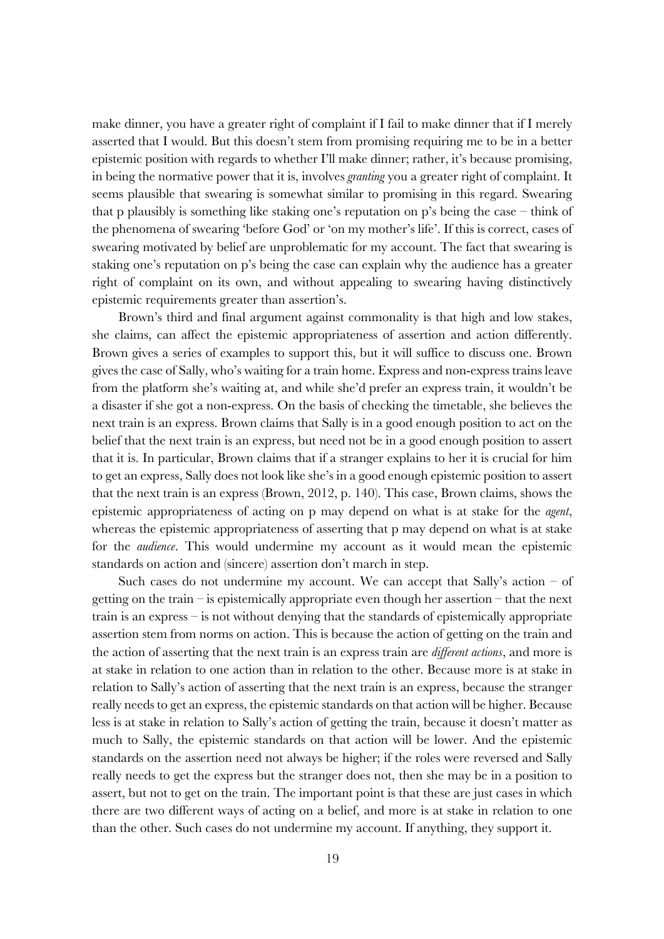make dinner, you have a greater right of complaint if I fail to make dinner that if I merely asserted that I would. But this doesn't stem from promising requiring me to be in a better epistemic position with regards to whether I'll make dinner; rather, it's because promising, in being the normative power that it is, involves *granting* you a greater right of complaint. It seems plausible that swearing is somewhat similar to promising in this regard. Swearing that p plausibly is something like staking one's reputation on p's being the case – think of the phenomena of swearing 'before God' or 'on my mother's life'. If this is correct, cases of swearing motivated by belief are unproblematic for my account. The fact that swearing is staking one's reputation on p's being the case can explain why the audience has a greater right of complaint on its own, and without appealing to swearing having distinctively epistemic requirements greater than assertion's.

Brown's third and final argument against commonality is that high and low stakes, she claims, can affect the epistemic appropriateness of assertion and action differently. Brown gives a series of examples to support this, but it will suffice to discuss one. Brown gives the case of Sally, who's waiting for a train home. Express and non-express trains leave from the platform she's waiting at, and while she'd prefer an express train, it wouldn't be a disaster if she got a non-express. On the basis of checking the timetable, she believes the next train is an express. Brown claims that Sally is in a good enough position to act on the belief that the next train is an express, but need not be in a good enough position to assert that it is. In particular, Brown claims that if a stranger explains to her it is crucial for him to get an express, Sally does not look like she's in a good enough epistemic position to assert that the next train is an express (Brown, 2012, p. 140). This case, Brown claims, shows the epistemic appropriateness of acting on p may depend on what is at stake for the *agent*, whereas the epistemic appropriateness of asserting that p may depend on what is at stake for the *audience*. This would undermine my account as it would mean the epistemic standards on action and (sincere) assertion don't march in step.

Such cases do not undermine my account. We can accept that Sally's action  $-$  of getting on the train – is epistemically appropriate even though her assertion – that the next train is an express – is not without denying that the standards of epistemically appropriate assertion stem from norms on action. This is because the action of getting on the train and the action of asserting that the next train is an express train are *different actions*, and more is at stake in relation to one action than in relation to the other. Because more is at stake in relation to Sally's action of asserting that the next train is an express, because the stranger really needs to get an express, the epistemic standards on that action will be higher. Because less is at stake in relation to Sally's action of getting the train, because it doesn't matter as much to Sally, the epistemic standards on that action will be lower. And the epistemic standards on the assertion need not always be higher; if the roles were reversed and Sally really needs to get the express but the stranger does not, then she may be in a position to assert, but not to get on the train. The important point is that these are just cases in which there are two different ways of acting on a belief, and more is at stake in relation to one than the other. Such cases do not undermine my account. If anything, they support it.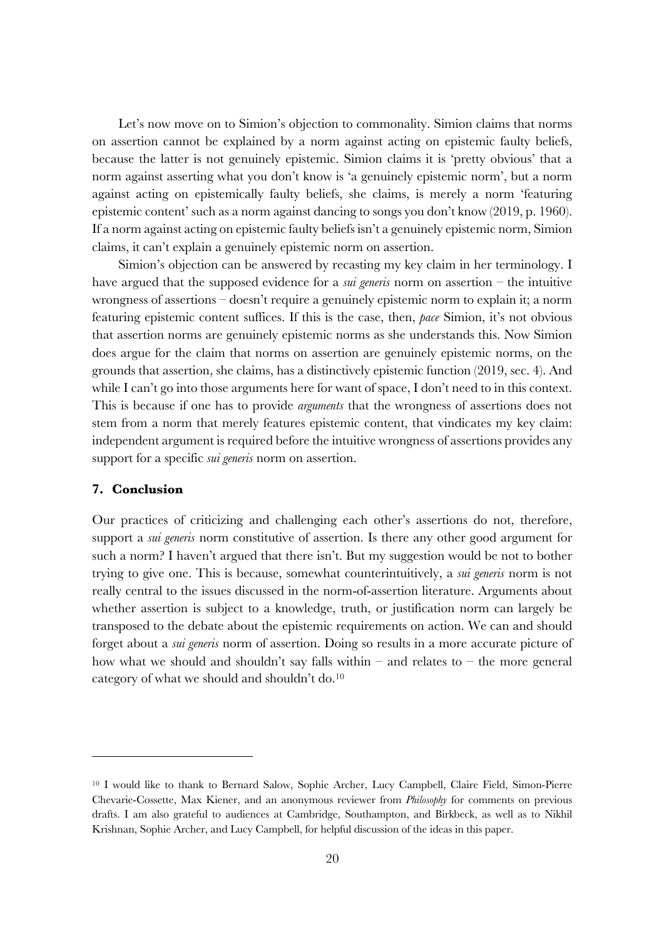Let's now move on to Simion's objection to commonality. Simion claims that norms on assertion cannot be explained by a norm against acting on epistemic faulty beliefs, because the latter is not genuinely epistemic. Simion claims it is 'pretty obvious' that a norm against asserting what you don't know is 'a genuinely epistemic norm', but a norm against acting on epistemically faulty beliefs, she claims, is merely a norm 'featuring epistemic content' such as a norm against dancing to songs you don't know (2019, p. 1960). If a norm against acting on epistemic faulty beliefs isn't a genuinely epistemic norm, Simion claims, it can't explain a genuinely epistemic norm on assertion.

Simion's objection can be answered by recasting my key claim in her terminology. I have argued that the supposed evidence for a *sui generis* norm on assertion – the intuitive wrongness of assertions – doesn't require a genuinely epistemic norm to explain it; a norm featuring epistemic content suffices. If this is the case, then, *pace* Simion, it's not obvious that assertion norms are genuinely epistemic norms as she understands this. Now Simion does argue for the claim that norms on assertion are genuinely epistemic norms, on the grounds that assertion, she claims, has a distinctively epistemic function (2019, sec. 4). And while I can't go into those arguments here for want of space, I don't need to in this context. This is because if one has to provide *arguments* that the wrongness of assertions does not stem from a norm that merely features epistemic content, that vindicates my key claim: independent argument is required before the intuitive wrongness of assertions provides any support for a specific *sui generis* norm on assertion.

### **7. Conclusion**

Our practices of criticizing and challenging each other's assertions do not, therefore, support a *sui generis* norm constitutive of assertion. Is there any other good argument for such a norm? I haven't argued that there isn't. But my suggestion would be not to bother trying to give one. This is because, somewhat counterintuitively, a *sui generis* norm is not really central to the issues discussed in the norm-of-assertion literature. Arguments about whether assertion is subject to a knowledge, truth, or justification norm can largely be transposed to the debate about the epistemic requirements on action. We can and should forget about a *sui generis* norm of assertion. Doing so results in a more accurate picture of how what we should and shouldn't say falls within – and relates to – the more general category of what we should and shouldn't do.10

<sup>10</sup> I would like to thank to Bernard Salow, Sophie Archer, Lucy Campbell, Claire Field, Simon-Pierre Chevarie-Cossette, Max Kiener, and an anonymous reviewer from *Philosophy* for comments on previous drafts. I am also grateful to audiences at Cambridge, Southampton, and Birkbeck, as well as to Nikhil Krishnan, Sophie Archer, and Lucy Campbell, for helpful discussion of the ideas in this paper.